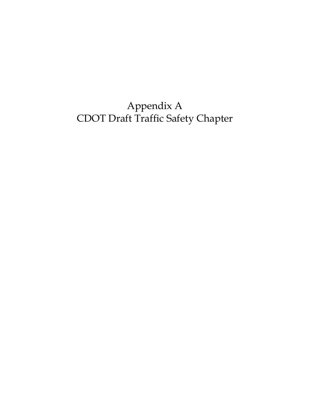Appendix A CDOT Draft Traffic Safety Chapter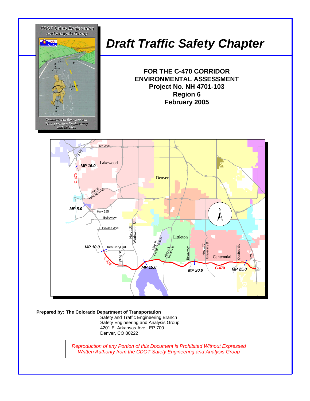

#### **Prepared by: The Colorado Department of Transportation**

Safety and Traffic Engineering Branch Safety Engineering and Analysis Group 4201 E. Arkansas Ave. EP 700 Denver, CO 80222

*Reproduction of any Portion of this Document is Prohibited Without Expressed Written Authority from the CDOT Safety Engineering and Analysis Group*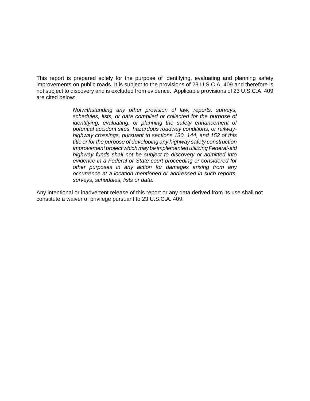This report is prepared solely for the purpose of identifying, evaluating and planning safety improvements on public roads. It is subject to the provisions of 23 U.S.C.A. 409 and therefore is not subject to discovery and is excluded from evidence. Applicable provisions of 23 U.S.C.A. 409 are cited below:

> *Notwithstanding any other provision of law, reports, surveys, schedules, lists, or data compiled or collected for the purpose of identifying, evaluating, or planning the safety enhancement of potential accident sites, hazardous roadway conditions, or railwayhighway crossings, pursuant to sections 130, 144, and 152 of this title or for the purpose of developing any highway safety construction improvement project which may be implemented utilizing Federal-aid highway funds shall not be subject to discovery or admitted into evidence in a Federal or State court proceeding or considered for other purposes in any action for damages arising from any occurrence at a location mentioned or addressed in such reports, surveys, schedules, lists or data.*

Any intentional or inadvertent release of this report or any data derived from its use shall not constitute a waiver of privilege pursuant to 23 U.S.C.A. 409.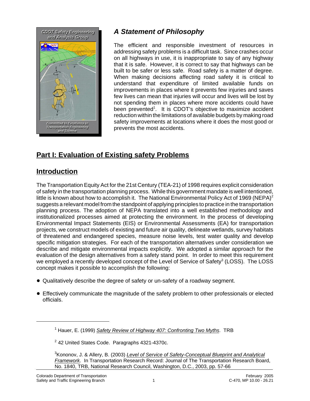

# *A Statement of Philosophy*

The efficient and responsible investment of resources in addressing safety problems is a difficult task. Since crashes occur on all highways in use, it is inappropriate to say of any highway that it is safe. However, it is correct to say that highways can be built to be safer or less safe. Road safety is a matter of degree. When making decisions affecting road safety it is critical to understand that expenditure of limited available funds on improvements in places where it prevents few injuries and saves few lives can mean that injuries will occur and lives will be lost by not spending them in places where more accidents could have been prevented<sup>1</sup>. It is CDOT's objective to maximize accident reduction within the limitations of available budgets by making road safety improvements at locations where it does the most good or prevents the most accidents.

## **Part I: Evaluation of Existing safety Problems**

### **Introduction**

The Transportation Equity Act for the 21st Century (TEA-21) of 1998 requires explicit consideration of safety in the transportation planning process. While this government mandate is well intentioned, little is known about how to accomplish it. The National Environmental Policy Act of 1969 (NEPA)<sup>2</sup> suggests a relevant model from the standpoint of applying principles to practice in the transportation planning process. The adoption of NEPA translated into a well established methodology and institutionalized processes aimed at protecting the environment. In the process of developing Environmental Impact Statements (EIS) or Environmental Assessments (EA) for transportation projects, we construct models of existing and future air quality, delineate wetlands, survey habitats of threatened and endangered species, measure noise levels, test water quality and develop specific mitigation strategies. For each of the transportation alternatives under consideration we describe and mitigate environmental impacts explicitly. We adopted a similar approach for the evaluation of the design alternatives from a safety stand point. In order to meet this requirement we employed a recently developed concept of the Level of Service of Safety<sup>3</sup> (LOSS). The LOSS concept makes it possible to accomplish the following:

- Qualitatively describe the degree of safety or un-safety of a roadway segment.
- ! Effectively communicate the magnitude of the safety problem to other professionals or elected officials.

<sup>1</sup> Hauer, E. (1999) *Safety Review of Highway 407: Confronting Two Myths*. TRB

 $2$  42 United States Code. Paragraphs 4321-4370c.

<sup>3</sup> Kononov, J. & Allery, B. (2003) *Level of Service of Safety-Conceptual Blueprint and Analytical Framework*. In Transportation Research Record: Journal of The Transportation Research Board, No. 1840, TRB, National Research Council, Washington, D.C., 2003, pp. 57-66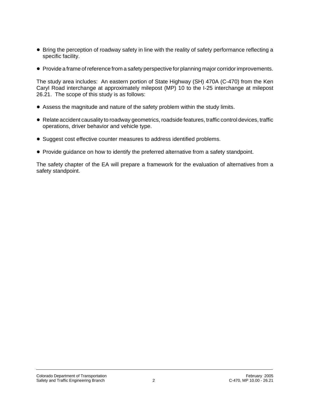- Bring the perception of roadway safety in line with the reality of safety performance reflecting a specific facility.
- Provide a frame of reference from a safety perspective for planning major corridor improvements.

The study area includes: An eastern portion of State Highway (SH) 470A (C-470) from the Ken Caryl Road interchange at approximately milepost (MP) 10 to the I-25 interchange at milepost 26.21. The scope of this study is as follows:

- ! Assess the magnitude and nature of the safety problem within the study limits.
- ! Relate accident causality to roadway geometrics, roadside features, traffic control devices, traffic operations, driver behavior and vehicle type.
- Suggest cost effective counter measures to address identified problems.
- ! Provide guidance on how to identify the preferred alternative from a safety standpoint.

The safety chapter of the EA will prepare a framework for the evaluation of alternatives from a safety standpoint.